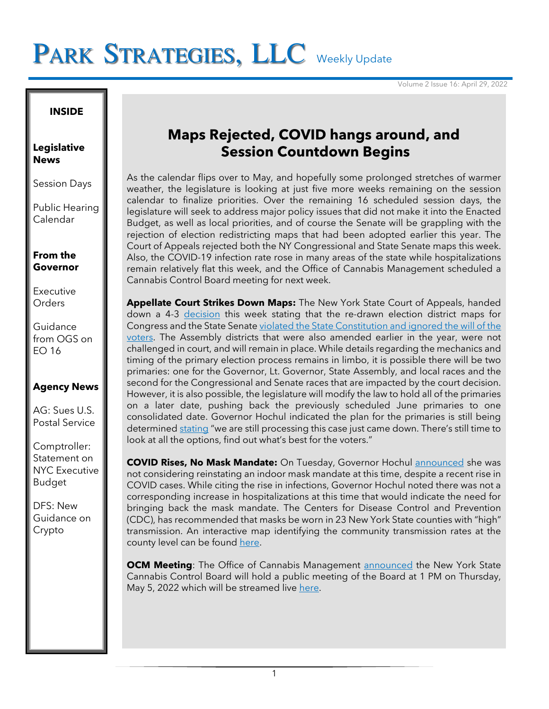# PARK STRATEGIES, LLC Weekly Update

#### **INSIDE**

**Legislative News**

Session Days

Public Hearing Calendar

**From the Governor**

Executive Orders

**Guidance** from OGS on EO 16

## **Agency News**

AG: Sues U.S. Postal Service

Comptroller: Statement on NYC Executive Budget

DFS: New Guidance on Crypto

# **Maps Rejected, COVID hangs around, and Session Countdown Begins**

As the calendar flips over to May, and hopefully some prolonged stretches of warmer weather, the legislature is looking at just five more weeks remaining on the session calendar to finalize priorities. Over the remaining 16 scheduled session days, the legislature will seek to address major policy issues that did not make it into the Enacted Budget, as well as local priorities, and of course the Senate will be grappling with the rejection of election redistricting maps that had been adopted earlier this year. The Court of Appeals rejected both the NY Congressional and State Senate maps this week. Also, the COVID-19 infection rate rose in many areas of the state while hospitalizations remain relatively flat this week, and the Office of Cannabis Management scheduled a Cannabis Control Board meeting for next week.

**Appellate Court Strikes Down Maps:** The New York State Court of Appeals, handed down a 4-3 [decision](https://nycourts.gov/ctapps/Decisions/2022/Apr22/60opn22-Decision.pdf) this week stating that the re-drawn election district maps for Congress and the State Senat[e violated the State Constitution and ignored the will of the](https://www.nytimes.com/2022/04/27/nyregion/redistricting-congress-gerrymander-ny.html)  [voters.](https://www.nytimes.com/2022/04/27/nyregion/redistricting-congress-gerrymander-ny.html) The Assembly districts that were also amended earlier in the year, were not challenged in court, and will remain in place. While details regarding the mechanics and timing of the primary election process remains in limbo, it is possible there will be two primaries: one for the Governor, Lt. Governor, State Assembly, and local races and the second for the Congressional and Senate races that are impacted by the court decision. However, it is also possible, the legislature will modify the law to hold all of the primaries on a later date, pushing back the previously scheduled June primaries to one consolidated date. Governor Hochul indicated the plan for the primaries is still being determine[d stating](https://nypost.com/2022/04/28/governor-kathy-hochul-downplays-defeat-at-new-york-court-of-appeals/) "we are still processing this case just came down. There's still time to look at all the options, find out what's best for the voters."

**COVID Rises, No Mask Mandate:** On Tuesday, Governor Hochul **announced** she was not considering reinstating an indoor mask mandate at this time, despite a recent rise in COVID cases. While citing the rise in infections, Governor Hochul noted there was not a corresponding increase in hospitalizations at this time that would indicate the need for bringing back the mask mandate. The Centers for Disease Control and Prevention (CDC), has recommended that masks be worn in 23 New York State counties with "high" transmission. An interactive map identifying the community transmission rates at the county level can be found [here.](https://covid.cdc.gov/covid-data-tracker/#county-view?list_select_state=all_states&list_select_county=all_counties&data-type=CommunityLevels)

**OCM Meeting**: The Office of Cannabis Management **announced** the New York State Cannabis Control Board will hold a public meeting of the Board at 1 PM on Thursday, May 5, 2022 which will be streamed liv[e here.](https://players.brightcove.net/2886492229001/default_default/index.html?videoId=6194546150001)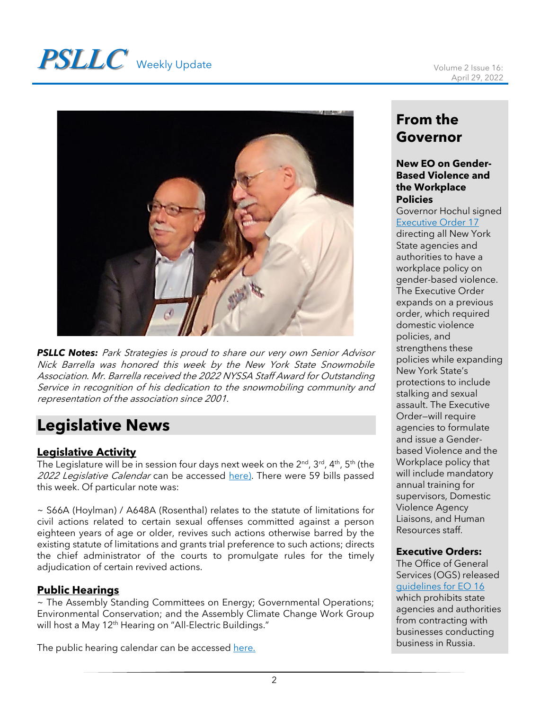# **PSLLC** Weekly Update Volume 2 Issue 16:



*PSLLC Notes:* Park Strategies is proud to share our very own Senior Advisor Nick Barrella was honored this week by the New York State Snowmobile Association. Mr. Barrella received the 2022 NYSSA Staff Award for Outstanding Service in recognition of his dedication to the snowmobiling community and representation of the association since 2001.

# **Legislative News**

## **Legislative Activity**

The Legislature will be in session four days next week on the 2<sup>nd</sup>, 3<sup>rd</sup>, 4<sup>th</sup>, 5<sup>th</sup> (the 2022 Legislative Calendar can be accessed [here\)](https://www.nyassembly.gov/leg/docs/sessioncalendar_2022.pdf). There were 59 bills passed this week. Of particular note was:

~ S66A (Hoylman) / A648A (Rosenthal) relates to the statute of limitations for civil actions related to certain sexual offenses committed against a person eighteen years of age or older, revives such actions otherwise barred by the existing statute of limitations and grants trial preference to such actions; directs the chief administrator of the courts to promulgate rules for the timely adjudication of certain revived actions.

#### **Public Hearings**

~ The Assembly Standing Committees on Energy; Governmental Operations; Environmental Conservation; and the Assembly Climate Change Work Group will host a May 12<sup>th</sup> Hearing on "All-Electric Buildings."

The public hearing calendar can be accessed [here.](https://www.nyassembly.gov/leg/?sh=hear)

## **From the Governor**

#### **New EO on Gender-Based Violence and the Workplace Policies**

Governor Hochul signed [Executive Order 17](https://www.governor.ny.gov/executive-order/no-17-requiring-adoption-gender-based-violence-and-workplace-policies)

directing all New York State agencies and authorities to have a workplace policy on gender-based violence. The Executive Order expands on a previous order, which required domestic violence policies, and strengthens these policies while expanding New York State's protections to include stalking and sexual assault. The Executive Order—will require agencies to formulate and issue a Genderbased Violence and the Workplace policy that will include mandatory annual training for supervisors, Domestic Violence Agency Liaisons, and Human Resources staff.

#### **Executive Orders:**

The Office of General Services (OGS) released [guidelines for EO 16](https://ogs.ny.gov/EO-16) which prohibits state agencies and authorities from contracting with businesses conducting business in Russia.